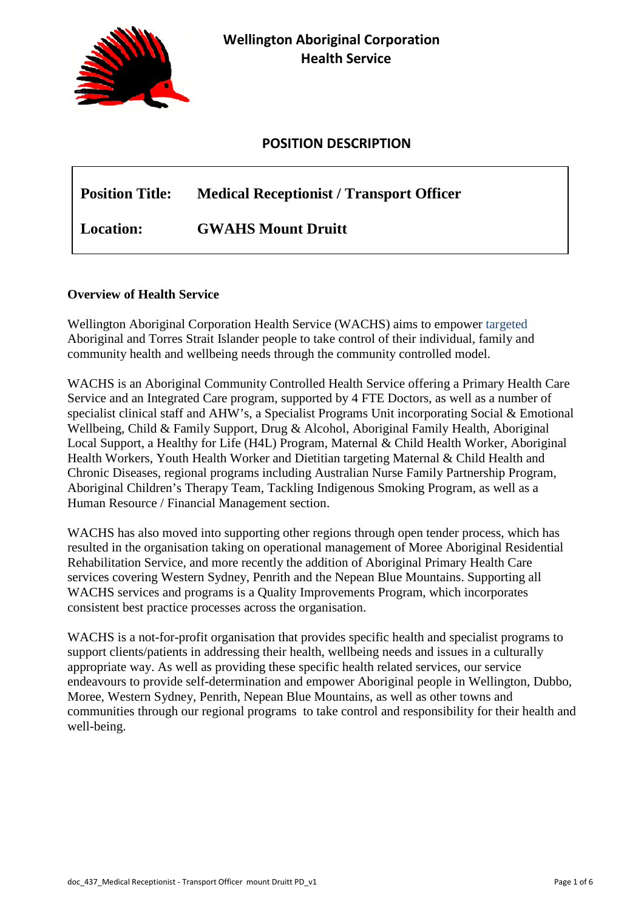

# **POSITION DESCRIPTION**

# **Position Title: Medical Receptionist / Transport Officer Location: GWAHS Mount Druitt**

## **Overview of Health Service**

Wellington Aboriginal Corporation Health Service (WACHS) aims to empower targeted Aboriginal and Torres Strait Islander people to take control of their individual, family and community health and wellbeing needs through the community controlled model.

WACHS is an Aboriginal Community Controlled Health Service offering a Primary Health Care Service and an Integrated Care program, supported by 4 FTE Doctors, as well as a number of specialist clinical staff and AHW's, a Specialist Programs Unit incorporating Social & Emotional Wellbeing, Child & Family Support, Drug & Alcohol, Aboriginal Family Health, Aboriginal Local Support, a Healthy for Life (H4L) Program, Maternal & Child Health Worker, Aboriginal Health Workers, Youth Health Worker and Dietitian targeting Maternal & Child Health and Chronic Diseases, regional programs including Australian Nurse Family Partnership Program, Aboriginal Children's Therapy Team, Tackling Indigenous Smoking Program, as well as a Human Resource / Financial Management section.

WACHS has also moved into supporting other regions through open tender process, which has resulted in the organisation taking on operational management of Moree Aboriginal Residential Rehabilitation Service, and more recently the addition of Aboriginal Primary Health Care services covering Western Sydney, Penrith and the Nepean Blue Mountains. Supporting all WACHS services and programs is a Quality Improvements Program, which incorporates consistent best practice processes across the organisation.

WACHS is a not-for-profit organisation that provides specific health and specialist programs to support clients/patients in addressing their health, wellbeing needs and issues in a culturally appropriate way. As well as providing these specific health related services, our service endeavours to provide self-determination and empower Aboriginal people in Wellington, Dubbo, Moree, Western Sydney, Penrith, Nepean Blue Mountains, as well as other towns and communities through our regional programs to take control and responsibility for their health and well-being.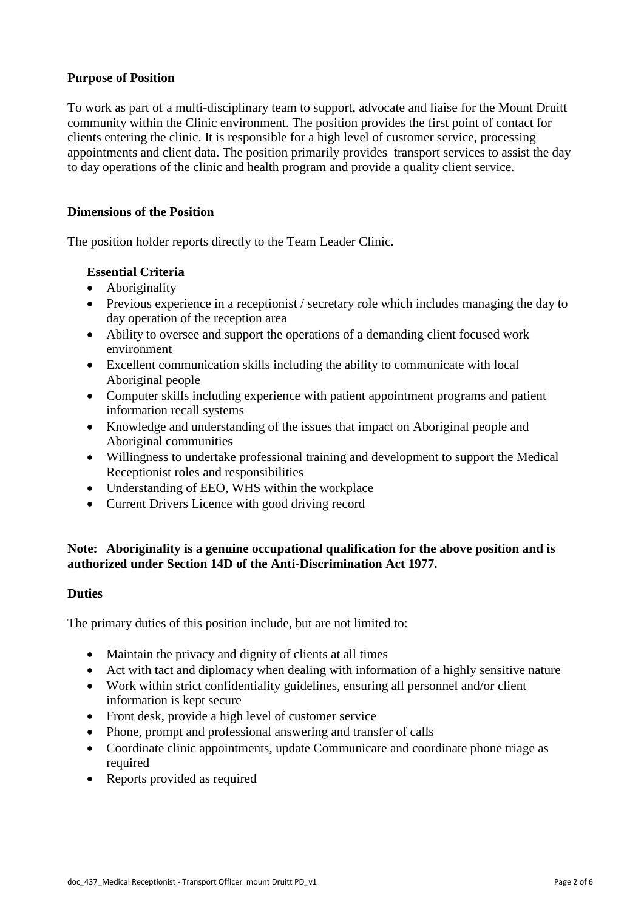# **Purpose of Position**

To work as part of a multi-disciplinary team to support, advocate and liaise for the Mount Druitt community within the Clinic environment. The position provides the first point of contact for clients entering the clinic. It is responsible for a high level of customer service, processing appointments and client data. The position primarily provides transport services to assist the day to day operations of the clinic and health program and provide a quality client service.

## **Dimensions of the Position**

The position holder reports directly to the Team Leader Clinic.

## **Essential Criteria**

- Aboriginality
- Previous experience in a receptionist / secretary role which includes managing the day to day operation of the reception area
- Ability to oversee and support the operations of a demanding client focused work environment
- Excellent communication skills including the ability to communicate with local Aboriginal people
- Computer skills including experience with patient appointment programs and patient information recall systems
- Knowledge and understanding of the issues that impact on Aboriginal people and Aboriginal communities
- Willingness to undertake professional training and development to support the Medical Receptionist roles and responsibilities
- Understanding of EEO, WHS within the workplace
- Current Drivers Licence with good driving record

## **Note: Aboriginality is a genuine occupational qualification for the above position and is authorized under Section 14D of the Anti-Discrimination Act 1977.**

## **Duties**

The primary duties of this position include, but are not limited to:

- Maintain the privacy and dignity of clients at all times
- Act with tact and diplomacy when dealing with information of a highly sensitive nature
- Work within strict confidentiality guidelines, ensuring all personnel and/or client information is kept secure
- Front desk, provide a high level of customer service
- Phone, prompt and professional answering and transfer of calls
- Coordinate clinic appointments, update Communicare and coordinate phone triage as required
- Reports provided as required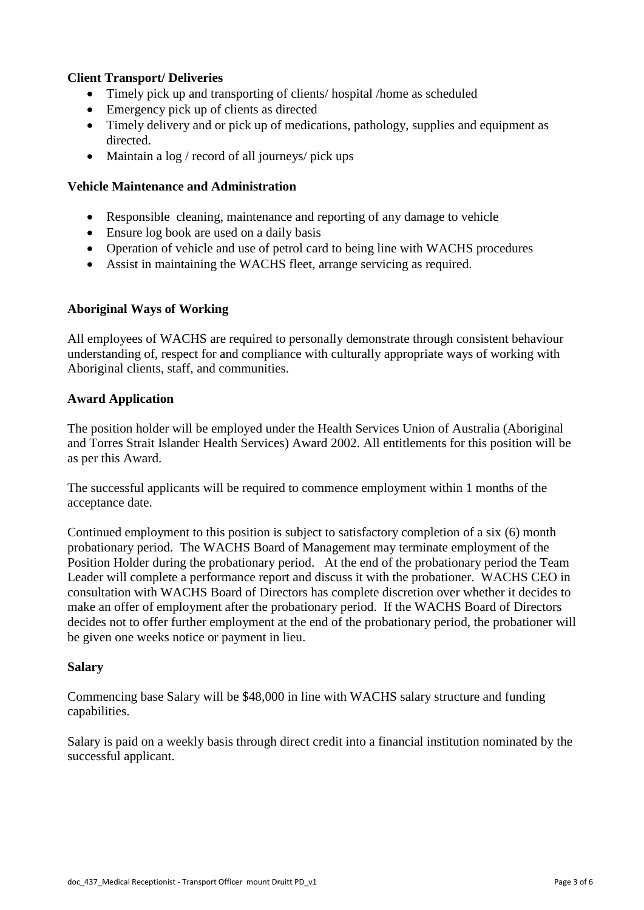## **Client Transport/ Deliveries**

- Timely pick up and transporting of clients/ hospital /home as scheduled
- Emergency pick up of clients as directed
- Timely delivery and or pick up of medications, pathology, supplies and equipment as directed.
- Maintain a  $log /$  record of all journeys/ pick ups

## **Vehicle Maintenance and Administration**

- Responsible cleaning, maintenance and reporting of any damage to vehicle
- Ensure log book are used on a daily basis
- Operation of vehicle and use of petrol card to being line with WACHS procedures
- Assist in maintaining the WACHS fleet, arrange servicing as required.

## **Aboriginal Ways of Working**

All employees of WACHS are required to personally demonstrate through consistent behaviour understanding of, respect for and compliance with culturally appropriate ways of working with Aboriginal clients, staff, and communities.

## **Award Application**

The position holder will be employed under the Health Services Union of Australia (Aboriginal and Torres Strait Islander Health Services) Award 2002. All entitlements for this position will be as per this Award.

The successful applicants will be required to commence employment within 1 months of the acceptance date.

Continued employment to this position is subject to satisfactory completion of a six (6) month probationary period. The WACHS Board of Management may terminate employment of the Position Holder during the probationary period. At the end of the probationary period the Team Leader will complete a performance report and discuss it with the probationer. WACHS CEO in consultation with WACHS Board of Directors has complete discretion over whether it decides to make an offer of employment after the probationary period. If the WACHS Board of Directors decides not to offer further employment at the end of the probationary period, the probationer will be given one weeks notice or payment in lieu.

## **Salary**

Commencing base Salary will be \$48,000 in line with WACHS salary structure and funding capabilities.

Salary is paid on a weekly basis through direct credit into a financial institution nominated by the successful applicant.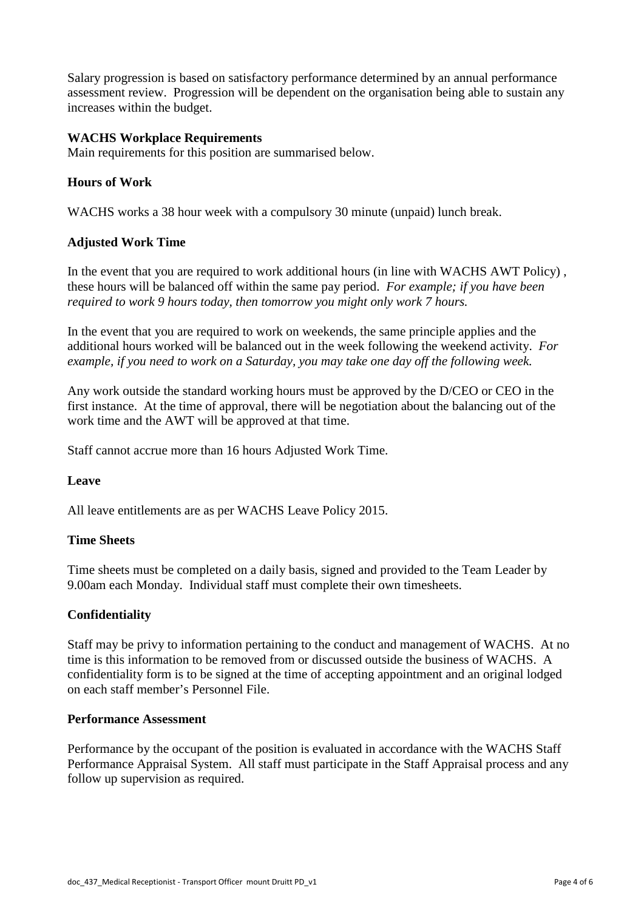Salary progression is based on satisfactory performance determined by an annual performance assessment review. Progression will be dependent on the organisation being able to sustain any increases within the budget.

## **WACHS Workplace Requirements**

Main requirements for this position are summarised below.

## **Hours of Work**

WACHS works a 38 hour week with a compulsory 30 minute (unpaid) lunch break.

## **Adjusted Work Time**

In the event that you are required to work additional hours (in line with WACHS AWT Policy) , these hours will be balanced off within the same pay period. *For example; if you have been required to work 9 hours today, then tomorrow you might only work 7 hours.*

In the event that you are required to work on weekends, the same principle applies and the additional hours worked will be balanced out in the week following the weekend activity. *For example, if you need to work on a Saturday, you may take one day off the following week.*

Any work outside the standard working hours must be approved by the D/CEO or CEO in the first instance. At the time of approval, there will be negotiation about the balancing out of the work time and the AWT will be approved at that time.

Staff cannot accrue more than 16 hours Adjusted Work Time.

# **Leave**

All leave entitlements are as per WACHS Leave Policy 2015.

## **Time Sheets**

Time sheets must be completed on a daily basis, signed and provided to the Team Leader by 9.00am each Monday. Individual staff must complete their own timesheets.

## **Confidentiality**

Staff may be privy to information pertaining to the conduct and management of WACHS. At no time is this information to be removed from or discussed outside the business of WACHS. A confidentiality form is to be signed at the time of accepting appointment and an original lodged on each staff member's Personnel File.

## **Performance Assessment**

Performance by the occupant of the position is evaluated in accordance with the WACHS Staff Performance Appraisal System. All staff must participate in the Staff Appraisal process and any follow up supervision as required.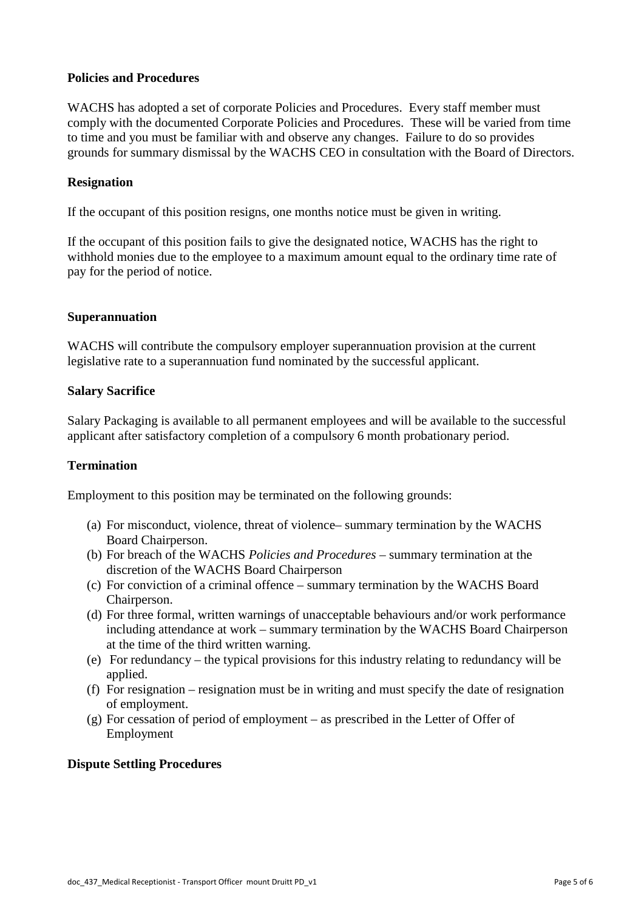## **Policies and Procedures**

WACHS has adopted a set of corporate Policies and Procedures. Every staff member must comply with the documented Corporate Policies and Procedures. These will be varied from time to time and you must be familiar with and observe any changes. Failure to do so provides grounds for summary dismissal by the WACHS CEO in consultation with the Board of Directors.

## **Resignation**

If the occupant of this position resigns, one months notice must be given in writing.

If the occupant of this position fails to give the designated notice, WACHS has the right to withhold monies due to the employee to a maximum amount equal to the ordinary time rate of pay for the period of notice.

## **Superannuation**

WACHS will contribute the compulsory employer superannuation provision at the current legislative rate to a superannuation fund nominated by the successful applicant.

## **Salary Sacrifice**

Salary Packaging is available to all permanent employees and will be available to the successful applicant after satisfactory completion of a compulsory 6 month probationary period.

## **Termination**

Employment to this position may be terminated on the following grounds:

- (a) For misconduct, violence, threat of violence– summary termination by the WACHS Board Chairperson.
- (b) For breach of the WACHS *Policies and Procedures* summary termination at the discretion of the WACHS Board Chairperson
- (c) For conviction of a criminal offence summary termination by the WACHS Board Chairperson.
- (d) For three formal, written warnings of unacceptable behaviours and/or work performance including attendance at work – summary termination by the WACHS Board Chairperson at the time of the third written warning.
- (e) For redundancy the typical provisions for this industry relating to redundancy will be applied.
- (f) For resignation resignation must be in writing and must specify the date of resignation of employment.
- (g) For cessation of period of employment as prescribed in the Letter of Offer of Employment

## **Dispute Settling Procedures**